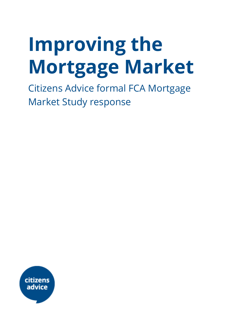# **Improving the Mortgage Market**

Citizens Advice formal FCA Mortgage Market Study response

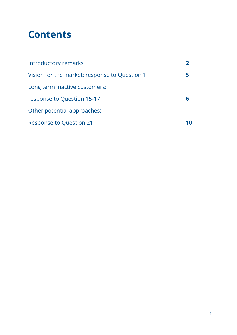# **Contents**

| Introductory remarks                          |    |
|-----------------------------------------------|----|
| Vision for the market: response to Question 1 | 5  |
| Long term inactive customers:                 |    |
| response to Question 15-17                    | 6  |
| Other potential approaches:                   |    |
| <b>Response to Question 21</b>                | 10 |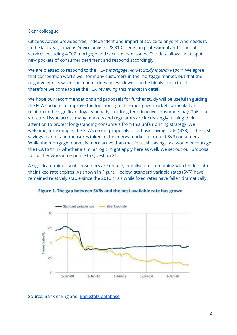Dear colleague,

Citizens Advice provides free, independent and impartial advice to anyone who needs it. In the last year, Citizens Advice advised 28,310 clients on professional and financial services including 4,002 mortgage and secured loan issues. Our data allows us to spot new pockets of consumer detriment and respond accordingly.

We are pleased to respond to the FCA's *Mortgage Market Study Interim Report.* We agree that competition works well for many customers in the mortgage market, but that the negative effects when the market does not work well can be highly impactful. It's therefore welcome to see the FCA reviewing this market in detail.

We hope our recommendations and proposals for further study will be useful in guiding the FCA's actions to improve the functioning of the mortgage market, particularly in relation to the significant loyalty penalty that long term inactive consumers pay. This is a structural issue across many markets and regulators are increasingly turning their attention to protect long-standing consumers from this unfair pricing strategy. We welcome, for example, the FCA's recent proposals for a basic savings rate (BSR) in the cash savings market and measures taken in the energy market to protect SVR consumers. While the mortgage market is more active than that for cash savings, we would encourage the FCA to think whether a similar logic might apply here as well. We set out our proposal for further work in response to Question 21.

A significant minority of consumers are unfairly penalised for remaining with lenders after their fixed rate expires. As shown in Figure 1 below, standard variable rates (SVR) have remained relatively stable since the 2010 crisis while fixed rates have fallen dramatically.



Figure 1. The gap between SVRs and the best available rate has grown

Source: Bank of England, [Bankstats](https://www.bankofengland.co.uk/statistics/tables) database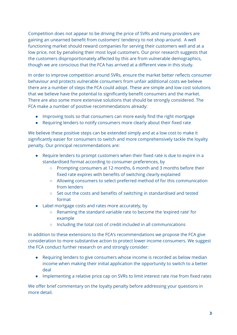Competition does not appear to be driving the price of SVRs and many providers are gaining an unearned benefit from customers' tendency to not shop around. A well functioning market should reward companies for serving their customers well and at a low price, not by penalising their most loyal customers. Our prior research suggests that the customers disproportionately affected by this are from vulnerable demographics, though we are conscious that the FCA has arrived at a different view in this study.

In order to improve competition around SVRs, ensure the market better reflects consumer behaviour and protects vulnerable consumers from unfair additional costs we believe there are a number of steps the FCA could adopt. These are simple and low cost solutions that we believe have the potential to significantly benefit consumers and the market. There are also some more extensive solutions that should be strongly considered. The FCA make a number of positive recommendations already:

- Improving tools so that consumers can more easily find the right mortgage
- Requiring lenders to notify consumers more clearly about their fixed rate

We believe these positive steps can be extended simply and at a low cost to make it significantly easier for consumers to switch and more comprehensively tackle the loyalty penalty. Our principal recommendations are:

- Require lenders to prompt customers when their fixed rate is due to expire in a standardised format according to consumer preferences, by
	- Prompting consumers at 12 months, 6 month and 3 months before their fixed rate expires with benefits of switching clearly explained
	- Allowing consumers to select preferred method of for this communication from lenders
	- Set out the costs and benefits of switching in standardised and tested format
- Label mortgage costs and rates more accurately, by
	- Renaming the standard variable rate to become the 'expired rate' for example
	- Including the total cost of credit included in all communications

In addition to these extensions to the FCA's recommendations we propose the FCA give consideration to more substantive action to protect lower income consumers. We suggest the FCA conduct further research on and strongly consider:

- Requiring lenders to give consumers whose income is recorded as below median income when making their initial application the opportunity to switch to a better deal
- Implementing a relative price cap on SVRs to limit interest rate rise from fixed rates

We offer brief commentary on the loyalty penalty before addressing your questions in more detail.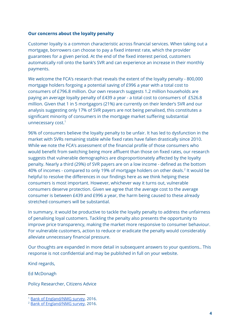#### **Our concerns about the loyalty penalty**

Customer loyalty is a common characteristic across financial services. When taking out a mortgage, borrowers can choose to pay a fixed interest rate, which the provider guarantees for a given period. At the end of the fixed interest period, customers automatically roll onto the bank's SVR and can experience an increase in their monthly payments.

We welcome the FCA's research that reveals the extent of the loyalty penalty - 800,000 mortgage holders forgoing a potential saving of £996 a year with a total cost to consumers of £796.8 million. Our own research suggests 1.2 million households are paying an average loyalty penalty of £439 a year - a total cost to consumers of £526.8 million. Given that 1 in 5 mortgagors (21%) are currently on their lender's SVR and our analysis suggesting only 17% of SVR payers are not being penalised, this constitutes a significant minority of consumers in the mortgage market suffering substantial unnecessary cost. 1

96% of consumers believe the loyalty penalty to be unfair. It has led to dysfunction in the market with SVRs remaining stable while fixed rates have fallen drastically since 2010. While we note the FCA's assessment of the financial profile of those consumers who would benefit from switching being more affluent than those on fixed rates, our research suggests that vulnerable demographics are disproportionately affected by the loyalty penalty. Nearly a third (29%) of SVR payers are on a low income - defined as the bottom 40% of incomes - compared to only 19% of mortgage holders on other deals. $2$  It would be helpful to resolve the differences in our findings here as we think helping these consumers is most important. However, whichever way it turns out, vulnerable consumers deserve protection. Given we agree that the average cost to the average consumer is between £439 and £996 a year, the harm being caused to these already stretched consumers will be substantial.

In summary, it would be productive to tackle the loyalty penalty to address the unfairness of penalising loyal customers. Tackling the penalty also presents the opportunity to improve price transparency, making the market more responsive to consumer behaviour. For vulnerable customers, action to reduce or eradicate the penalty would considerably alleviate unnecessary financial pressure.

Our thoughts are expanded in more detail in subsequent answers to your questions.. This response is not confidential and may be published in full on your website.

Kind regards,

Ed McDonagh

Policy Researcher, Citizens Advice

<sup>&</sup>lt;sup>1</sup> Bank of [England/NMG](https://www.bankofengland.co.uk/news?NewsTypes=ce90163e489841e0b66d06243d35d5cb&Taxonomies=0a9c25c4cdde4020bb4143e168100a76&Direction=Latest) survey, 2016.

<sup>2</sup> Bank of [England/NMG](https://www.bankofengland.co.uk/news?NewsTypes=ce90163e489841e0b66d06243d35d5cb&Taxonomies=0a9c25c4cdde4020bb4143e168100a76&Direction=Latest) survey, 2016.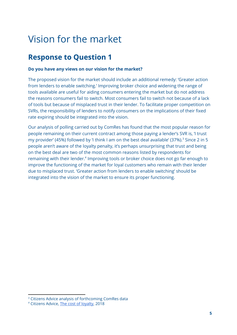# Vision for the market

### **Response to Question 1**

#### **Do you have any views on our vision for the market?**

The proposed vision for the market should include an additional remedy: 'Greater action from lenders to enable switching.' Improving broker choice and widening the range of tools available are useful for aiding consumers entering the market but do not address the reasons consumers fail to switch. Most consumers fail to switch not because of a lack of tools but because of misplaced trust in their lender. To facilitate proper competition on SVRs, the responsibility of lenders to notify consumers on the implications of their fixed rate expiring should be integrated into the vision.

Our analysis of polling carried out by ComRes has found that the most popular reason for people remaining on their current contract among those paying a lender's SVR is, 'I trust my provider' (45%) followed by 'I think I am on the best deal available' (37%).<sup>3</sup> Since 2 in 5 people aren't aware of the loyalty penalty, it's perhaps unsurprising that trust and being on the best deal are two of the most common reasons listed by respondents for remaining with their lender.<sup>4</sup> Improving tools or broker choice does not go far enough to improve the functioning of the market for loyal customers who remain with their lender due to misplaced trust. 'Greater action from lenders to enable switching' should be integrated into the vision of the market to ensure its proper functioning.

<sup>&</sup>lt;sup>3</sup> Citizens Advice analysis of forthcoming ComRes data

<sup>4</sup> Citizens Advice, The cost of [loyalty](https://www.citizensadvice.org.uk/about-us/policy/policy-research-topics/consumer-policy-research/consumer-policy-research/the-cost-of-loyalty-exploring-how-long-standing-customers-pay-more-for-essential-services/), 2018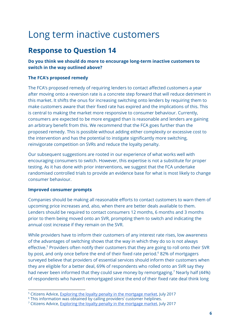# Long term inactive customers

### **Response to Question 14**

#### **Do you think we should do more to encourage long-term inactive customers to switch in the way outlined above?**

#### **The FCA's proposed remedy**

The FCA's proposed remedy of requiring lenders to contact affected customers a year after moving onto a reversion rate is a concrete step forward that will reduce detriment in this market. It shifts the onus for increasing switching onto lenders by requiring them to make customers aware that their fixed rate has expired and the implications of this. This is central to making the market more responsive to consumer behaviour. Currently, consumers are expected to be more engaged than is reasonable and lenders are gaining an arbitrary benefit from this. We recommend that the FCA goes further than the proposed remedy. This is possible without adding either complexity or excessive cost to the intervention and has the potential to instigate significantly more switching, reinvigorate competition on SVRs and reduce the loyalty penalty.

Our subsequent suggestions are rooted in our experience of what works well with encouraging consumers to switch. However, this expertise is not a substitute for proper testing. As it has done with prior interventions, we suggest that the FCA undertake randomised controlled trials to provide an evidence base for what is most likely to change consumer behaviour.

#### **Improved consumer prompts**

Companies should be making all reasonable efforts to contact customers to warn them of upcoming price increases and, also, when there are better deals available to them. Lenders should be required to contact consumers 12 months, 6 months and 3 months prior to them being moved onto an SVR, prompting them to switch and indicating the annual cost increase if they remain on the SVR.

While providers have to inform their customers of any interest rate rises, low awareness of the advantages of switching shows that the way in which they do so is not always effective.<sup>5</sup> Providers often notify their customers that they are going to roll onto their SVR by post, and only once before the end of their fixed rate period.<sup>6</sup> 82% of mortgagers surveyed believe that providers of essential services should inform their customers when they are eligible for a better deal, 69% of respondents who rolled onto an SVR say they had never been informed that they could save money by remortgaging.<sup>7</sup> Nearly half (44%) of respondents who haven't remortgaged since the end of their fixed rate deal think long

<sup>&</sup>lt;sup>5</sup> Citizens Advice, Exploring the loyalty penalty in the [mortgage](https://www.citizensadvice.org.uk/about-us/policy/policy-research-topics/consumer-policy-research/consumer-policy-research/the-cost-of-loyalty-exploring-how-long-standing-customers-pay-more-for-essential-services/) market, July 2017

<sup>&</sup>lt;sup>6</sup> This information was obtained by calling providers' customer helplines.

<sup>&</sup>lt;sup>7</sup> Citizens Advice, Exploring the loyalty penalty in the [mortgage](https://www.citizensadvice.org.uk/about-us/policy/policy-research-topics/consumer-policy-research/consumer-policy-research/the-cost-of-loyalty-exploring-how-long-standing-customers-pay-more-for-essential-services/) market, July 2017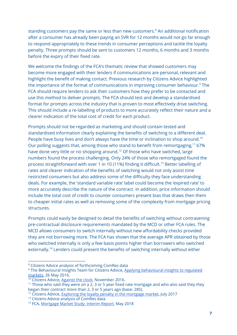standing customers pay the same or less than new customers.<sup>8</sup> An additional notification after a consumer has already been paying an SVR for 12 months would not go far enough to respond appropriately to these trends in consumer perceptions and tackle the loyalty penalty. Three prompts should be sent to customers 12 months, 6 months and 3 months before the expiry of their fixed rate.

We welcome the findings of the FCA's thematic review that showed customers may become more engaged with their lenders if communications are personal, relevant and highlight the benefit of making contact. Previous research by Citizens Advice highlighted the importance of the format of communications in improving consumer behaviour. $9$  The FCA should require lenders to ask their customers how they prefer to be contacted and use this method to deliver prompts. The FCA should test and develop a standardised format for prompts across the industry that is proven to most effectively drive switching. This should include a re-labelling of products to more accurately reflect their nature and a clearer indication of the total cost of credit for each product.

Prompts should not be regarded as marketing and should contain tested and standardised information clearly explaining the benefits of switching to a different deal. People have busy lives and don't always have the time or inclination to shop around.<sup>10</sup> Our polling suggests that, among those who stand to benefit from remortgaging,<sup>11</sup> 67% have done very little or no shopping around.<sup>12</sup> Of those who have switched, large numbers found the process challenging. Only 24% of those who remortgaged found the process straightforward with over 1 in 10 (11%) finding it difficult.<sup>13</sup> Better labelling of rates and clearer indication of the benefits of switching would not only assist time restricted consumers but also address some of the difficulty they face understanding deals. For example, the 'standard variable rate' label could become the 'expired rate' to more accurately describe the nature of the contract. In addition, price information should include the total cost of credit to counter consumers present bias that draws then them to cheaper initial rates as well as removing some of the complexity from mortgage pricing structures.

Prompts could easily be designed to detail the benefits of switching without contravening pre-contractual disclosure requirements mandated by the MCD or other FCA rules. The MCD allows consumers to switch internally without new affordability checks provided they are not borrowing more. The FCA has shown that the average APR obtained by those who switched internally is only a few basis points higher than borrowers who switched externally.<sup>14</sup> Lenders could present the benefits of switching internally without either

<sup>8</sup> Citizens Advice analysis of forthcoming ComRes data

<sup>&</sup>lt;sup>9</sup> The Behavioural Insights Team for Citizens Advice, Applying [behavioural](https://www.citizensadvice.org.uk/Global/CitizensAdvice/Consumer%20publications/Applying-behavioural-insights-to-regulated-markets.pdf) insights to regulated [markets](https://www.citizensadvice.org.uk/Global/CitizensAdvice/Consumer%20publications/Applying-behavioural-insights-to-regulated-markets.pdf), 26 May 2016.

<sup>&</sup>lt;sup>10</sup> Citizens Advice, [Against](https://www.citizensadvice.org.uk/about-us/policy/policy-research-topics/consumer-policy-research/consumer-policy-research/against-the-clock-why-more-time-isnt-the-answer-for-consumers/) the clock, November 2016.

 $11$  Those who said they were on a 2, 3 or 5 year fixed rate mortgage and who also said they they began their contract more than 2, 3 or 5 years ago (base: 285).

<sup>&</sup>lt;sup>12</sup> Citizens Advice, Exploring the loyalty penalty in the [mortgage](https://www.citizensadvice.org.uk/about-us/policy/policy-research-topics/consumer-policy-research/consumer-policy-research/the-cost-of-loyalty-exploring-how-long-standing-customers-pay-more-for-essential-services/) market, July 2017

<sup>&</sup>lt;sup>13</sup> Citizens Advice analysis of ComRes data

<sup>&</sup>lt;sup>14</sup> FCA, [Mortgage](https://www.fca.org.uk/publication/market-studies/ms16-2-2-interim-report.pdf) Market Study: Interim Report, May 2018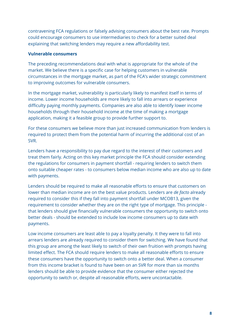contravening FCA regulations or falsely advising consumers about the best rate. Prompts could encourage consumers to use intermediaries to check for a better suited deal explaining that switching lenders may require a new affordability test.

#### **Vulnerable consumers**

The preceding recommendations deal with what is appropriate for the whole of the market. We believe there is a specific case for helping customers in vulnerable circumstances in the mortgage market, as part of the FCA's wider strategic commitment to improving outcomes for vulnerable consumers.

In the mortgage market, vulnerability is particularly likely to manifest itself in terms of income. Lower income households are more likely to fall into arrears or experience difficulty paying monthly payments. Companies are also able to identify lower income households through their household income at the time of making a mortgage application, making it a feasible group to provide further support to.

For these consumers we believe more than just increased communication from lenders is required to protect them from the potential harm of incurring the additional cost of an SVR.

Lenders have a responsibility to pay due regard to the interest of their customers and treat them fairly. Acting on this key market principle the FCA should consider extending the regulations for consumers in payment shortfall - requiring lenders to switch them onto suitable cheaper rates - to consumers below median income who are also up to date with payments.

Lenders should be required to make all reasonable efforts to ensure that customers on lower than median income are on the best value products. Lenders are *de facto* already required to consider this if they fall into payment shortfall under MCOB13, given the requirement to consider whether they are on the right type of mortgage. This principle that lenders should give financially vulnerable consumers the opportunity to switch onto better deals - should be extended to include low income consumers up to date with payments.

Low income consumers are least able to pay a loyalty penalty. It they were to fall into arrears lenders are already required to consider them for switching. We have found that this group are among the least likely to switch of their own fruition with prompts having limited effect. The FCA should require lenders to make all reasonable efforts to ensure these consumers have the opportunity to switch onto a better deal. When a consumer from this income bracket is found to have been on an SVR for more than six months lenders should be able to provide evidence that the consumer either rejected the opportunity to switch or, despite all reasonable efforts, were uncontactable.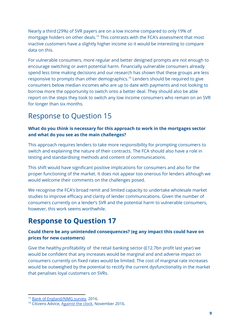Nearly a third (29%) of SVR payers are on a low income compared to only 19% of mortgage holders on other deals.<sup>15</sup> This contrasts with the FCA's assessment that most inactive customers have a slightly higher income so it would be interesting to compare data on this.

For vulnerable consumers, more regular and better designed prompts are not enough to encourage switching or avert potential harm. Financially vulnerable consumers already spend less time making decisions and our research has shown that these groups are less responsive to prompts than other demographics.<sup>16</sup> Lenders should be required to give consumers below median incomes who are up to date with payments and not looking to borrow more the opportunity to switch onto a better deal. They should also be able report on the steps they took to switch any low income consumers who remain on an SVR for longer than six months.

### Response to Question 15

#### **What do you think is necessary for this approach to work in the mortgages sector and what do you see as the main challenges?**

This approach requires lenders to take more responsibility for prompting consumers to switch and explaining the nature of their contracts. The FCA should also have a role in testing and standardising methods and content of communications.

This shift would have significant positive implications for consumers and also for the proper functioning of the market. It does not appear too onerous for lenders although we would welcome their comments on the challenges posed.

We recognise the FCA's broad remit and limited capacity to undertake wholesale market studies to improve efficacy and clarity of lender communications. Given the number of consumers currently on a lender's SVR and the potential harm to vulnerable consumers, however, this work seems worthwhile.

## **Response to Question 17**

#### **Could there be any unintended consequences? (eg any impact this could have on prices for new customers)**

Give the healthy profitability of the retail banking sector (£12.7bn profit last year) we would be confident that any increases would be marginal and and adverse impact on consumers currently on fixed rates would be limited. The cost of marginal rate increases would be outweighed by the potential to rectify the current dysfunctionality in the market that penalises loyal customers on SVRs.

<sup>&</sup>lt;sup>15</sup> Bank of [England/NMG](https://www.bankofengland.co.uk/news?NewsTypes=ce90163e489841e0b66d06243d35d5cb&Taxonomies=0a9c25c4cdde4020bb4143e168100a76&Direction=Latest) survey, 2016.

<sup>16</sup> Citizens Advice, [Against](https://www.citizensadvice.org.uk/about-us/policy/policy-research-topics/consumer-policy-research/consumer-policy-research/against-the-clock-why-more-time-isnt-the-answer-for-consumers/) the clock, November 2016.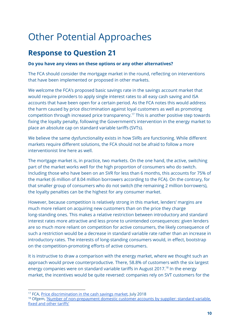# Other Potential Approaches

### **Response to Question 21**

#### **Do you have any views on these options or any other alternatives?**

The FCA should consider the mortgage market in the round, reflecting on interventions that have been implemented or proposed in other markets.

We welcome the FCA's proposed basic savings rate in the savings account market that would require providers to apply single interest rates to all easy cash saving and ISA accounts that have been open for a certain period. As the FCA notes this would address the harm caused by price discrimination against loyal customers as well as promoting competition through increased price transparency.<sup>17</sup> This is another positive step towards fixing the loyalty penalty, following the Government's intervention in the energy market to place an absolute cap on standard variable tariffs (SVTs).

We believe the same dysfunctionality exists in how SVRs are functioning. While different markets require different solutions, the FCA should not be afraid to follow a more interventionist line here as well.

The mortgage market is, in practice, two markets. On the one hand, the active, switching part of the market works well for the high proportion of consumers who do switch. Including those who have been on an SVR for less than 6 months, this accounts for 75% of the market (6 million of 8.04 million borrowers according to the FCA). On the contrary, for that smaller group of consumers who do not switch (the remaining 2 million borrowers), the loyalty penalties can be the highest for any consumer market.

However, because competition is relatively strong in this market, lenders' margins are much more reliant on acquiring new customers than on the price they charge long-standing ones. This makes a relative restriction between introductory and standard interest rates more attractive and less prone to unintended consequences: given lenders are so much more reliant on competition for active consumers, the likely consequence of such a restriction would be a decrease in standard variable rate rather than an increase in introductory rates. The interests of long-standing consumers would, in effect, bootstrap on the competition-promoting efforts of active consumers.

It is instructive to draw a comparison with the energy market, where we thought such an approach would prove counterproductive. There, 58.8% of customers with the six largest energy companies were on standard variable tariffs in August 2017.<sup>18</sup> In the energy market, the incentives would be quite reversed: companies rely on SVT customers for the

<sup>&</sup>lt;sup>17</sup> FCA, Price [discrimination](https://www.fca.org.uk/publications/discussion-papers/dp18-6-price-discrimination-cash-savings-market) in the cash savings market, July 2018

<sup>&</sup>lt;sup>18</sup> Ofgem, 'Number of [non-prepayment](http://tinyurl.com/y8ywd7wa) domestic customer accounts by supplier: standard variable, fixed and other [tariffs'](http://tinyurl.com/y8ywd7wa)